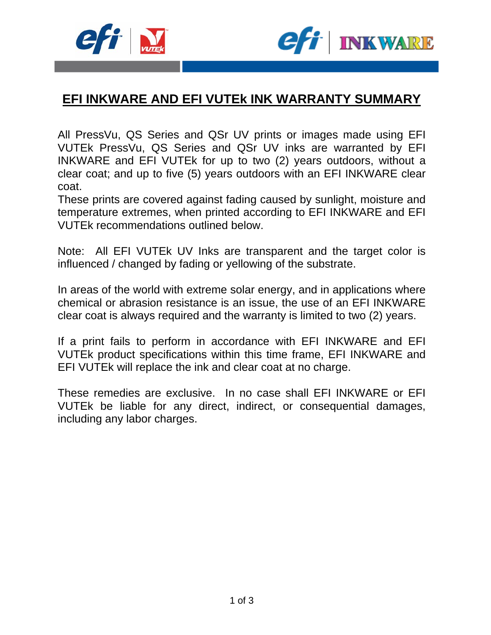



# **EFI INKWARE AND EFI VUTEk INK WARRANTY SUMMARY**

All PressVu, QS Series and QSr UV prints or images made using EFI VUTEk PressVu, QS Series and QSr UV inks are warranted by EFI INKWARE and EFI VUTEk for up to two (2) years outdoors, without a clear coat; and up to five (5) years outdoors with an EFI INKWARE clear coat.

These prints are covered against fading caused by sunlight, moisture and temperature extremes, when printed according to EFI INKWARE and EFI VUTEk recommendations outlined below.

Note: All EFI VUTEk UV Inks are transparent and the target color is influenced / changed by fading or yellowing of the substrate.

In areas of the world with extreme solar energy, and in applications where chemical or abrasion resistance is an issue, the use of an EFI INKWARE clear coat is always required and the warranty is limited to two (2) years.

If a print fails to perform in accordance with EFI INKWARE and EFI VUTEk product specifications within this time frame, EFI INKWARE and EFI VUTEk will replace the ink and clear coat at no charge.

These remedies are exclusive. In no case shall EFI INKWARE or EFI VUTEk be liable for any direct, indirect, or consequential damages, including any labor charges.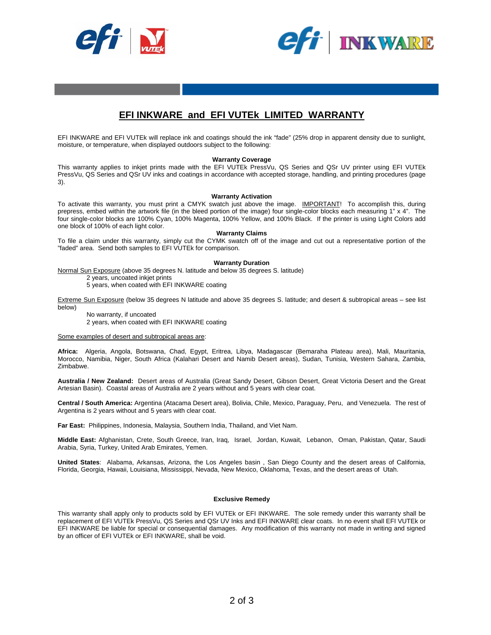



## **EFI INKWARE and EFI VUTEk LIMITED WARRANTY**

EFI INKWARE and EFI VUTEk will replace ink and coatings should the ink "fade" (25% drop in apparent density due to sunlight, moisture, or temperature, when displayed outdoors subject to the following:

#### **Warranty Coverage**

This warranty applies to inkjet prints made with the EFI VUTEk PressVu, QS Series and QSr UV printer using EFI VUTEk PressVu, QS Series and QSr UV inks and coatings in accordance with accepted storage, handling, and printing procedures (page 3).

#### **Warranty Activation**

To activate this warranty, you must print a CMYK swatch just above the image. IMPORTANT! To accomplish this, during prepress, embed within the artwork file (in the bleed portion of the image) four single-color blocks each measuring 1" x 4". The four single-color blocks are 100% Cyan, 100% Magenta, 100% Yellow, and 100% Black. If the printer is using Light Colors add one block of 100% of each light color.

**Warranty Claims** 

To file a claim under this warranty, simply cut the CYMK swatch off of the image and cut out a representative portion of the "faded" area. Send both samples to EFI VUTEk for comparison.

#### **Warranty Duration**

Normal Sun Exposure (above 35 degrees N. latitude and below 35 degrees S. latitude)

2 years, uncoated inkjet prints

5 years, when coated with EFI INKWARE coating

Extreme Sun Exposure (below 35 degrees N latitude and above 35 degrees S. latitude; and desert & subtropical areas – see list below)

No warranty, if uncoated 2 years, when coated with EFI INKWARE coating

Some examples of desert and subtropical areas are:

**Africa:** Algeria, Angola, Botswana, Chad, Egypt, Eritrea, Libya, Madagascar (Bemaraha Plateau area), Mali, Mauritania, Morocco, Namibia, Niger, South Africa (Kalahari Desert and Namib Desert areas), Sudan, Tunisia, Western Sahara, Zambia, Zimbabwe.

**Australia / New Zealand:** Desert areas of Australia (Great Sandy Desert, Gibson Desert, Great Victoria Desert and the Great Artesian Basin). Coastal areas of Australia are 2 years without and 5 years with clear coat.

**Central / South America:** Argentina (Atacama Desert area), Bolivia, Chile, Mexico, Paraguay, Peru, and Venezuela. The rest of Argentina is 2 years without and 5 years with clear coat.

**Far East:** Philippines, Indonesia, Malaysia, Southern India, Thailand, and Viet Nam.

**Middle East:** Afghanistan, Crete, South Greece, Iran, Iraq, Israel, Jordan, Kuwait, Lebanon, Oman, Pakistan, Qatar, Saudi Arabia, Syria, Turkey, United Arab Emirates, Yemen.

**United States**: Alabama, Arkansas, Arizona, the Los Angeles basin , San Diego County and the desert areas of California, Florida, Georgia, Hawaii, Louisiana, Mississippi, Nevada, New Mexico, Oklahoma, Texas, and the desert areas of Utah.

#### **Exclusive Remedy**

This warranty shall apply only to products sold by EFI VUTEk or EFI INKWARE. The sole remedy under this warranty shall be replacement of EFI VUTEk PressVu, QS Series and QSr UV Inks and EFI INKWARE clear coats. In no event shall EFI VUTEk or EFI INKWARE be liable for special or consequential damages. Any modification of this warranty not made in writing and signed by an officer of EFI VUTEk or EFI INKWARE, shall be void.